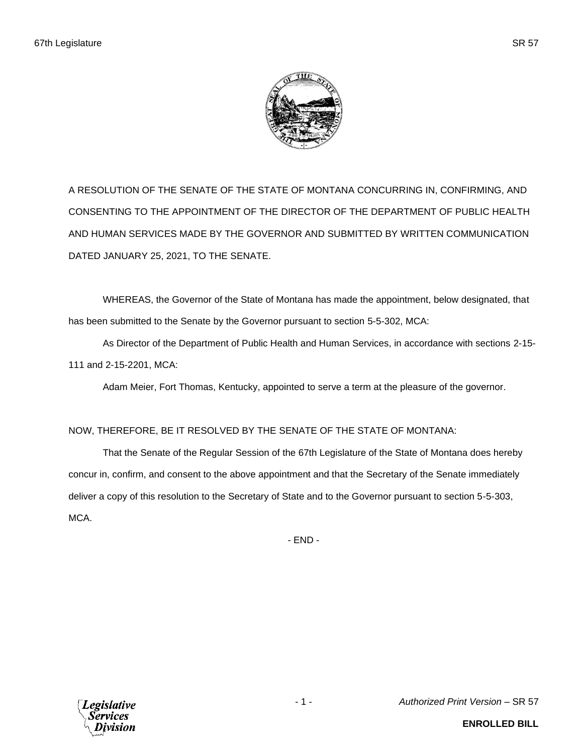

A RESOLUTION OF THE SENATE OF THE STATE OF MONTANA CONCURRING IN, CONFIRMING, AND CONSENTING TO THE APPOINTMENT OF THE DIRECTOR OF THE DEPARTMENT OF PUBLIC HEALTH AND HUMAN SERVICES MADE BY THE GOVERNOR AND SUBMITTED BY WRITTEN COMMUNICATION DATED JANUARY 25, 2021, TO THE SENATE.

WHEREAS, the Governor of the State of Montana has made the appointment, below designated, that has been submitted to the Senate by the Governor pursuant to section 5-5-302, MCA:

As Director of the Department of Public Health and Human Services, in accordance with sections 2-15- 111 and 2-15-2201, MCA:

Adam Meier, Fort Thomas, Kentucky, appointed to serve a term at the pleasure of the governor.

## NOW, THEREFORE, BE IT RESOLVED BY THE SENATE OF THE STATE OF MONTANA:

That the Senate of the Regular Session of the 67th Legislature of the State of Montana does hereby concur in, confirm, and consent to the above appointment and that the Secretary of the Senate immediately deliver a copy of this resolution to the Secretary of State and to the Governor pursuant to section 5-5-303, MCA.

- END -

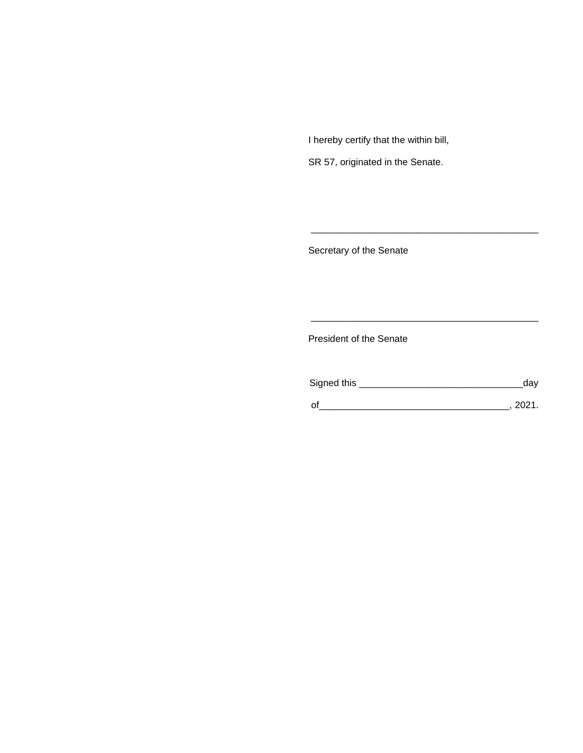I hereby certify that the within bill,

SR 57, originated in the Senate.

Secretary of the Senate

President of the Senate

| Signed this | dav  |
|-------------|------|
|             | 2021 |

\_\_\_\_\_\_\_\_\_\_\_\_\_\_\_\_\_\_\_\_\_\_\_\_\_\_\_\_\_\_\_\_\_\_\_\_\_\_\_\_\_\_\_

\_\_\_\_\_\_\_\_\_\_\_\_\_\_\_\_\_\_\_\_\_\_\_\_\_\_\_\_\_\_\_\_\_\_\_\_\_\_\_\_\_\_\_